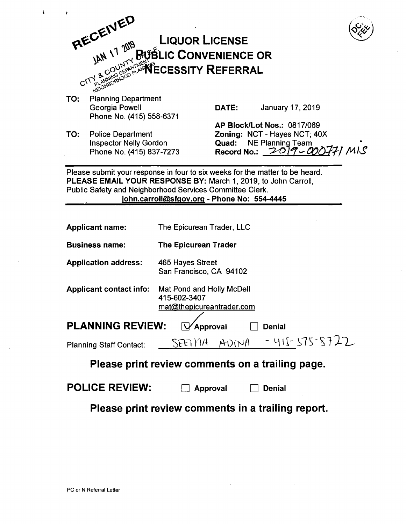

TO: Planning Department Phone No. (415) 558-6371

TO: Police Department Inspector Nelly Gordon Phone No. (415) 837-7273

Georgia Powell **DATE:** January 17, 2019

 $\Box$  Denial

AP Block/Lot Nos.: 0817/069 Zoning: NCT - Hayes NCT; 40X Quad: NE Planning Team<br>Record No.:  $2019 - 0007771$  M). Record No.:  $2019 - 000$ 

Please submit your response in four to six weeks for the matter to be heard. PLEASE EMAIL YOUR RESPONSE BY: March 1, 2019, to John Carroll, Public Safety and Neighborhood Services Committee Clerk. john.carroll@sfgov.org - Phone No: 554-4445

| <b>Applicant name:</b>         | The Epicurean Trader, LLC                                              |
|--------------------------------|------------------------------------------------------------------------|
| <b>Business name:</b>          | <b>The Epicurean Trader</b>                                            |
| <b>Application address:</b>    | 465 Hayes Street<br>San Francisco, CA 94102                            |
| <b>Applicant contact info:</b> | Mat Pond and Holly McDell<br>415-602-3407<br>mat@thepicureantrader.com |
| <b>PLANNING REVIEW:</b>        | Approval<br><b>Denial</b>                                              |
| <b>Planning Staff Contact:</b> | $-415-575-8722$<br>ADINA<br>SEED VIA                                   |
|                                | <u>Please print review comments on a trailing page.</u>                |

# Please print review comments on a trailing page.

| <b>POLICE REVIEW:</b> | $\Box$ Approval |
|-----------------------|-----------------|
|-----------------------|-----------------|

Please print review comments in a trailing report.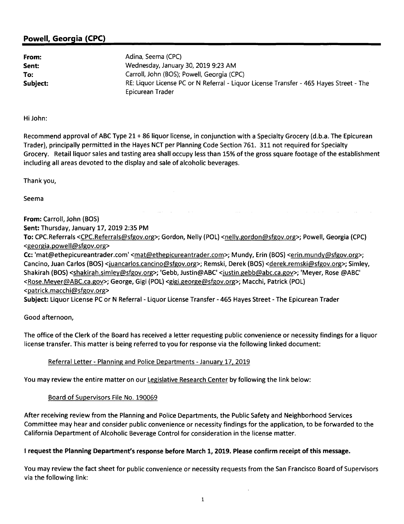## Powell, Georgia (CPC)

From: Sent: To: Subject: Adina, Seema (CPC) Wednesday, January 30, 2019 9:23 AM Carroll, John (BOS); Powell, Georgia (CPC) RE: Liquor License PC or N Referral - Liquor License Transfer - 465 Hayes Street - The Epicurean Trader

#### Hi John:

Recommend approval of ABC Type 21 + 86 liquor license, in conjunction with a Specialty Grocery (d.b.a. The Epicurean Trader), principally permitted in the Hayes NCT per Planning Code Section 761. 311 not required for Specialty Grocery. Retail liquor sales and tasting area shall occupy less than 15% of the gross square footage of the establishment including all areas devoted to the display and sale of alcoholic beverages.

Thank you,

Seema

From: Carroll, John {BOS) Sent: Thursday, January 17, 2019 2:35 PM To: CPC.Referrals <CPC.Referrals@sfgov.org>; Gordon, Nelly {POL) <nelly.gordon@sfgov.org>; Powell, Georgia {CPC) <georgia.powell@sfgov.org> Cc: 'mat@ethepicureantrader.com' <mat@ethepicureantrader.com>; Mundy, Erin (BOS) <erin.mundy@sfgov.org>; Cancino, Juan Carlos (BOS) <juancarlos.cancino@sfgov.org>; Remski, Derek (BOS) <derek.remski@sfgov.org>; Simley, Shakirah (BOS) <shakirah.simley@sfgov.org>; 'Gebb, Justin@ABC' <justin.gebb@abc.ca.gov>; 'Meyer, Rose @ABC' <Rose.Meyer@ABC.ca.gov>; George, Gigi (POL) <gigi.george@sfgov.org>; Macchi, Patrick (POL) <patrick.macchi@sfgov.org> Subject: Liquor License PC or N Referral - Liquor License Transfer - 465 Hayes Street - The Epicurean Trader

Good afternoon,

The office of the Clerk of the Board has received a letter requesting public convenience or necessity findings for a liquor license transfer. This matter is being referred to you for response via the following linked document:

### Referral Letter - Planning and Police Departments - January 17, 2019

You may review the entire matter on our Legislative Research Center by following the link below:

### Board of Supervisors File No. 190069

After receiving review from the Planning and Police Departments, the Public Safety and Neighborhood Services Committee may hear and consider public convenience or necessity findings for the application, to be forwarded to the California Department of Alcoholic Beverage Control for consideration in the license matter.

### I request the Planning Department's response before March 1, 2019. Please confirm receipt of this message.

You may review the fact sheet for public convenience or necessity requests from the San Francisco Board of Supervisors via the following link: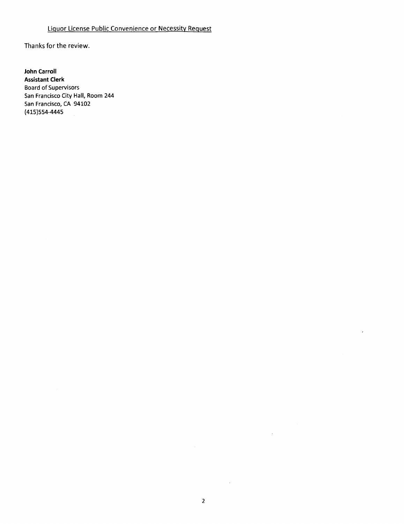## Liquor License Public Convenience or Necessity Request

Thanks for the review.

**John Carroll Assistant Clerk**  Board of Supervisors San Francisco City Hall, Room 244 San Francisco, CA 94102 (415)554-4445

 $\sim 10^{-11}$ 

 $\hat{\mathcal{A}}$ 

 $\overline{1}$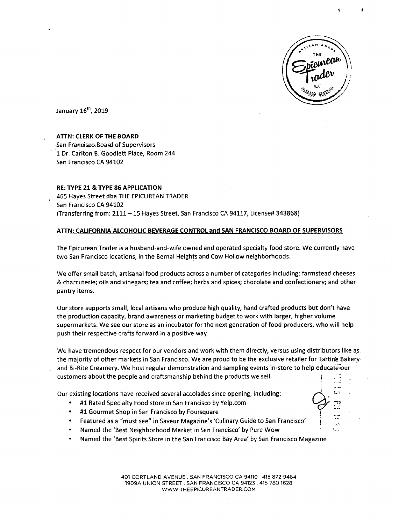

 $\mathbb{Z}$ 

 $I = \sqrt{3}$ <..:.

January 16<sup>th</sup>, 2019

#### **ATTN: CLERK OF THE BOARD**

San Francisco.Board of Supervisors t Dr. Carlton B. Goodlett Place, Room 244 San Francisco CA 94102

#### **RE: TYPE 21 & TYPE 86 APPLICATION**

465 Hayes Street dba THE EPICUREAN TRADER San Francisco CA 94102 (Transferring from: 2111-15 Hayes Street, San Francisco CA 94117, License# 343868)

#### **ATTN: CALIFORNIA ALCOHOLIC BEVERAGE CONTROL and SAN FRANCISCO BOARD OF SUPERVISORS**

The Epicurean Trader is a husband-and-wife owned and operated specialty food store. We currently have two San Francisco locations, in the Bernal Heights and Cow Hollow neighborhoods.

We offer small batch, artisanal food products across a number of categories including: farmstead cheeses & charcuterie; oils and vinegars; tea and coffee; herbs and spices; chocolate and confectionery; and other pantry items.

Our store supports small, local artisans who produce high quality, hand crafted products but don't have the production capacity, brand awareness or marketing budget to work with larger, higher volume supermarkets. We see our store as an incubator for the next generation of food producers, who will help push their respective crafts forward in a positive way.

We have tremendous respect for our vendors and work with them directly, versus using distributors like as the majority of other markets in San Francisco. We are proud to be the exclusive retailer for Tartine Bakery and Bi-Rite Creamery. We host regular demonstration and sampling events in-store to help educate our customers about the people and craftsmanship behind the products we sell.

Our existing locations have received several accolades since opening, including:

- #1 Rated Specialty Food store in San Francisco by Yelp.com
- #1 Gourmet Shop in San Francisco by Foursquare
- Featured as a "must see" in Saveur Magazine's 'Culinary Guide to San Francisco'
- Named the 'Best Neighborhood Market in San Francisco' by Pure Wow
- Named the 'Best Spirits Store in the San Francisco Bay Area' by San Francisco Magazine

401 CORTLAND AVENUE. SAN FRANCISCO CA 94110 415 872 9484 1909A UNION STREET. SAN FRANCISCO CA 94123. 415 780 1628 WWW.THEEPICUREANTRADER.COM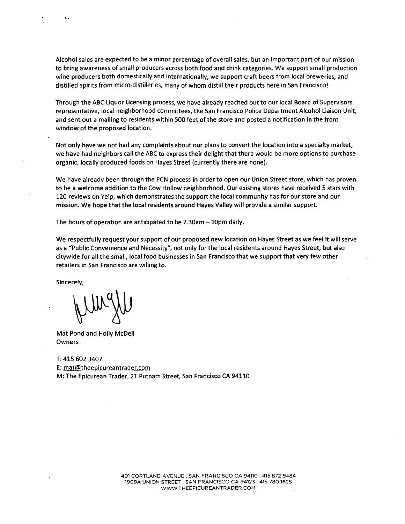Alcohol sales are expected to be a minor percentage of overall sales, but an important part of our mission to bring awareness of small producers across both food and drink categories. We support small production wine producers both domestically and internationally, we support craft beers from local breweries, and distilled spirits from micro-distilleries, many of whom distill their products here in San Francisco!

Through the ABC Liquor licensing process, we have already reached out to our local Board of Supervisors representative, local neighborhood committees, the San Francisco Police Department Alcohol Liaison Unit, and sent out a mailing to residents within 500 feet of the store and posted a notification in the front window of the proposed location.

Not only have we not had any complaints about our plans to convert the location into a specialty market, we have had neighbors call the ABC to express their delight that there would be more options to purchase organic, locally produced foods on Hayes Street (currently there are none).

We have already been through the PCN process in order to open our Union Street store, which has proven to be a welcome addition to the Cow Hollow neighborhood. Our existing stores have received S stars with 120 reviews on Yelp, which demonstrates the support the local community has for our store and our mission. We hope that the local residents around Hayes Valley will provide a similar support.

The hours of operation are anticipated to be  $7.30$ am  $-10$ pm daily.

We respectfully request your support of our proposed new location on Hayes Street as we feel it will serve as a ''Public Convenience and Necessity", not only for the local residents around Hayes Street, but also citywide for all the small, local food businesses in San Francisco that we support that very few other retailers in San Francisco are willing to.

Sincerely,

'.

Mat Pond and Holly McDell Owners

T: 415 602 3407 E: mat@theepicureantrader.com M: The Epicurean Trader, 21 Putnam Street, San Francisco CA 94110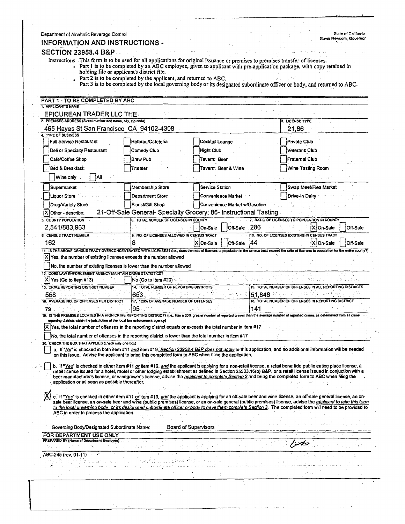| Department of Alcoholic Beverage Control<br><b>INFORMATION AND INSTRUCTIONS -</b>                                                                                                                           |                                                                                                                                                                                                                                                                                                                                    |                               |        | State of California<br>Gavin Newsom, Governor           |
|-------------------------------------------------------------------------------------------------------------------------------------------------------------------------------------------------------------|------------------------------------------------------------------------------------------------------------------------------------------------------------------------------------------------------------------------------------------------------------------------------------------------------------------------------------|-------------------------------|--------|---------------------------------------------------------|
| <b>SECTION 23958.4 B&amp;P</b>                                                                                                                                                                              |                                                                                                                                                                                                                                                                                                                                    |                               |        |                                                         |
|                                                                                                                                                                                                             | Instructions This form is to be used for all applications for original issuance or premises to premises transfer of licenses.                                                                                                                                                                                                      |                               |        |                                                         |
|                                                                                                                                                                                                             | • Part I is to be completed by an ABC employee, given to applicant with pre-application package, with copy retained in                                                                                                                                                                                                             |                               |        |                                                         |
|                                                                                                                                                                                                             | holding file or applicant's district file.<br>Part 2 is to be completed by the applicant, and returned to ABC.                                                                                                                                                                                                                     |                               |        |                                                         |
|                                                                                                                                                                                                             | Part 3 is to be completed by the local governing body or its designated subordinate officer or body, and returned to ABC.                                                                                                                                                                                                          |                               |        |                                                         |
|                                                                                                                                                                                                             |                                                                                                                                                                                                                                                                                                                                    |                               |        |                                                         |
| PART 1 - TO BE COMPLETED BY ABC<br>1. APPLICANTS NAME                                                                                                                                                       |                                                                                                                                                                                                                                                                                                                                    |                               |        |                                                         |
| EPICUREAN TRADER LLC THE                                                                                                                                                                                    |                                                                                                                                                                                                                                                                                                                                    |                               |        |                                                         |
| 2. PREMISES ADDRESS (Street number and name, city, zip code)                                                                                                                                                |                                                                                                                                                                                                                                                                                                                                    |                               |        | 3. LICENSE TYPE                                         |
| 465 Hayes St San Francisco. CA 94102-4308<br><b>4 TYPE OF BUSINESS</b>                                                                                                                                      |                                                                                                                                                                                                                                                                                                                                    |                               |        | 21,86                                                   |
| Full Service Restaurant                                                                                                                                                                                     | Hofbrau/Cafeteria                                                                                                                                                                                                                                                                                                                  | Cocktail Lounge               |        | <b>Private Club</b>                                     |
| Deli or Specialty Restaurant                                                                                                                                                                                | Comedy Club                                                                                                                                                                                                                                                                                                                        | Night Club                    |        | Veterans Club                                           |
| Cafe/Coffee Shop                                                                                                                                                                                            | <b>Brew Pub</b>                                                                                                                                                                                                                                                                                                                    | Tavern: Beer                  |        | Fratemal Club                                           |
| Bed & Breakfast:                                                                                                                                                                                            | <b>Theater</b>                                                                                                                                                                                                                                                                                                                     | Tavern: Beer & Wine           |        | Wine Tasting Room                                       |
| Wine only<br>∵lAll                                                                                                                                                                                          |                                                                                                                                                                                                                                                                                                                                    |                               |        |                                                         |
| Supermarket                                                                                                                                                                                                 | Membership Store                                                                                                                                                                                                                                                                                                                   | <b>Service Station</b>        |        | Swap Meet/Flea Market                                   |
| <b>Liquor Store</b>                                                                                                                                                                                         | Department Store                                                                                                                                                                                                                                                                                                                   | <b>Convenience Market</b>     |        | Drive-in Dairy                                          |
| Drug/Variety Store                                                                                                                                                                                          | Florist/Gift Shop                                                                                                                                                                                                                                                                                                                  | Convenience Market w/Gasoline |        |                                                         |
| X Other - describe:                                                                                                                                                                                         | 21-Off-Sale General- Specialty Grocery; 86- Instructional Tasting                                                                                                                                                                                                                                                                  |                               |        |                                                         |
| 5. COUNTY POPULATION                                                                                                                                                                                        | <b>6. TOTAL NUMBER OF LICENSES IN COUNTY</b>                                                                                                                                                                                                                                                                                       |                               |        | 7. RATIO OF LICENSES TO POPULATION IN COUNTY            |
| 2,541/883,963                                                                                                                                                                                               |                                                                                                                                                                                                                                                                                                                                    | On-Sale<br>Off-Sale           | 286    | X On-Sale<br>Off-Sale                                   |
| 8. CENSUS TRACT NUMBER                                                                                                                                                                                      | 9. NO. OF LICENSES ALLOWED IN CENSUS TRACT                                                                                                                                                                                                                                                                                         |                               |        | 10. NO. OF LICENSES EXISTING IN CENSUS TRACT            |
| 162<br>11. IS THE ABOVE CENSUS TRACT OVERCONCENTRATED WITH LICENSES? (i.e., does the ratio of licenses to population in the census tract exceed the ratio of licenses to population for the entire county?) |                                                                                                                                                                                                                                                                                                                                    | X On-Sale<br>Off-Sale         | 144    | X On-Sale<br><b>Off-Sale</b>                            |
| 12. DOES LAW ENFORCEMENT AGENCY MAINTAIN CRIME STATISTICS?<br>X Yes (Go to Item #13)                                                                                                                        | No (Go to item #20)                                                                                                                                                                                                                                                                                                                |                               |        |                                                         |
| 13. CRIME REPORTING DISTRICT NUMBER                                                                                                                                                                         | 14. TOTAL NUMBER OF REPORTING DISTRICTS                                                                                                                                                                                                                                                                                            |                               |        | 15. TOTAL NUMBER OF OFFENSES IN ALL REPORTING DISTRICTS |
| 558                                                                                                                                                                                                         | 653                                                                                                                                                                                                                                                                                                                                |                               | 51.848 |                                                         |
| 16. AVERAGE NO. OF OFFENSES PER DISTRICT<br>79                                                                                                                                                              | 17, 120% OF AVERAGE NUMBER OF OFFENSES<br>95.                                                                                                                                                                                                                                                                                      |                               | 141    | 18. TOTAL NUMBER OF OFFENSES IN REPORTING DISTRICT      |
| 19. IS THE PREMISES LOCATED IN A HIGH CRIME REPORTING DISTRICT? (i.e., has a 20% greater number of reported crimes than the average number of reported crimes as determined from all crime                  |                                                                                                                                                                                                                                                                                                                                    |                               |        |                                                         |
| reporting districts within the jurisdiction of the local law enforcement agency)                                                                                                                            |                                                                                                                                                                                                                                                                                                                                    |                               |        |                                                         |
|                                                                                                                                                                                                             | $ X $ Yes, the total number of offenses in the reporting district equals or exceeds the total number in item #17                                                                                                                                                                                                                   |                               |        |                                                         |
| 20. CHECK THE BOX THAT APPLIES (check only one box)                                                                                                                                                         | No, the total number of offenses in the reporting district is lower than the total number in item #17                                                                                                                                                                                                                              |                               |        |                                                         |
|                                                                                                                                                                                                             | a. If "No" is checked in both item #11 and item #19, Section 23958.4 B&P does not apply to this application, and no additional information will be needed                                                                                                                                                                          |                               |        |                                                         |
|                                                                                                                                                                                                             | on this issue. Advise the applicant to bring this completed form to ABC when filing the application.                                                                                                                                                                                                                               |                               |        |                                                         |
|                                                                                                                                                                                                             | b. If "Yes" is checked in either item #11 or item #19, and the applicant is applying for a non-retail license, a retail bona fide public eating place license, a<br>retail license issued for a hotel, motel or other lodging establishment as defined in Section 25503.16(b) B&P, or a retail license issued in conjuction with a |                               |        |                                                         |
|                                                                                                                                                                                                             | beer manufacturer's license, or winegrower's license, advise the <i>applicant to complete Section</i> 2 and bring the completed form to ABC when filing the                                                                                                                                                                        |                               |        |                                                         |
| application or as soon as possible thereafter.                                                                                                                                                              |                                                                                                                                                                                                                                                                                                                                    |                               |        |                                                         |
|                                                                                                                                                                                                             | c. If "Yes" is checked in either item #11 or item #19, and the applicant is applying for an off-sale beer and wine license, an off-sale general license, an on-                                                                                                                                                                    |                               |        |                                                         |
|                                                                                                                                                                                                             | sale beer license, an on-sale beer and wine (public premises) license, or an on-sale general (public premises) license, advise the applicant to take this form<br>to the local governing body, or its designated subordinate officer or body to have them complete Section 3. The completed form will need to be provided to       |                               |        |                                                         |
| ABC in order to process the application.                                                                                                                                                                    |                                                                                                                                                                                                                                                                                                                                    |                               |        |                                                         |
|                                                                                                                                                                                                             |                                                                                                                                                                                                                                                                                                                                    |                               |        |                                                         |
|                                                                                                                                                                                                             | Governing Body/Designated Subordinate Name:                                                                                                                                                                                                                                                                                        | Board of Supervisors          |        |                                                         |
|                                                                                                                                                                                                             |                                                                                                                                                                                                                                                                                                                                    |                               |        |                                                         |
| FOR DEPARTMENT USE ONLY<br>PREPARED BY (Name of Department Employee)                                                                                                                                        |                                                                                                                                                                                                                                                                                                                                    |                               |        |                                                         |
|                                                                                                                                                                                                             |                                                                                                                                                                                                                                                                                                                                    |                               |        |                                                         |
| ABC-245 (rev. 01-11)                                                                                                                                                                                        |                                                                                                                                                                                                                                                                                                                                    |                               |        |                                                         |
|                                                                                                                                                                                                             |                                                                                                                                                                                                                                                                                                                                    |                               |        |                                                         |

i<br>...

المتسب

 $\sim 10^{11}$  and  $\sim 10^{11}$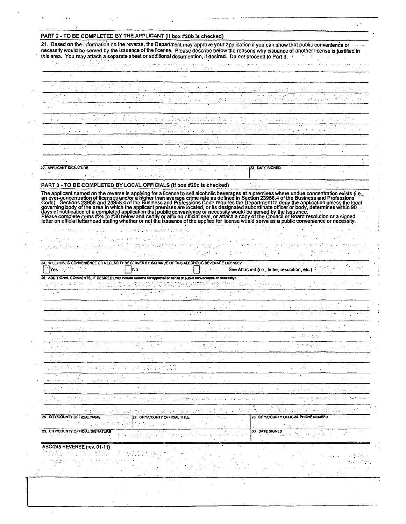#### PART 2 - TO BE COMPLETED BY THE APPLICANT (If box #20b is checked)

21. Based on the information on the reverse, the Department may approve your application if you can show that public convenience or necessity would be served by the issuance of the license. Please describe below the reasons why issuance of another license is justified in this area. You may attach a separate sheet or additional documention, if desired. Do not proceed to Part 3.

 $\ddot{\phantom{a}}$ 

 $\epsilon$  .

S.

|                                                                      |                                                                                    | 医自动性 医白细胞 医白细胞 医细胞 医内皮 医血管 医血管反应 医血管 医心包 医心包 医心包结 医心包                                                                                                                                                                                          |         |                                   |  |
|----------------------------------------------------------------------|------------------------------------------------------------------------------------|------------------------------------------------------------------------------------------------------------------------------------------------------------------------------------------------------------------------------------------------|---------|-----------------------------------|--|
|                                                                      |                                                                                    | $\mathcal{L}(\mathcal{L})$ and $\mathcal{L}(\mathcal{L})$ and $\mathcal{L}(\mathcal{L})$ are the functions of the $\mathcal{L}(\mathcal{L})$                                                                                                   | アール・アール |                                   |  |
|                                                                      | and the company of the property of the company                                     | i se oktoba koto su granjeni stajenih in oznami sto izgranje sustana ne sradinskim i konstrukcima.                                                                                                                                             |         |                                   |  |
| and the March Control of the                                         |                                                                                    | ਕਾਰਨ ਨਾਲ ਸ਼ਾਮਲ ਨਾਲ ਕਰਨ ਦਾ ਸ਼ਾਮਲ ਪ੍ਰਾਪਤੀ ਦਾ ਸਾਹਮਣੀ ਹੈ। ਇਹ ਸ਼ਾਮਲ ਨਾਲ ਵਿੱਚ ਸ਼ਾਮਲ ਇਕੱਲੀ ਵਿੱਚ ਇੱਕ ਸ਼ਾਮਲ ਦਾ ਸ਼ਾਮਲ ਵਿ<br>ри из 1992 года в полето дел в 1954 года, <i>в ударску стрича в прескуден редактивны с</i> ветски советски медикански пр     |         |                                   |  |
|                                                                      |                                                                                    | 1000 To April 1990 The April 1990 The April 1990 The April 1990 The April 1990 The April 1990 The April 1990                                                                                                                                   |         |                                   |  |
|                                                                      | والمحافظ والمستحقق والمتحافظ والمتحاف والمحافظ والمتحدث والمتحرق والمتحرق والمتحرق | 计可变级 人名卡尔克 网络卡尔格兰人名 人名英格兰人姓氏德英语含义是英国英语含义是美国英语含义是 医子宫 医卡尔氏试验检尿道 医神经病 计图 计字符 医多氏管骨软骨                                                                                                                                                             |         |                                   |  |
|                                                                      |                                                                                    | ുന്നു. പൂര്പന്തില് പ്രാപാര്യങ്ങളില് കാര്യങ്ങളില് പ്രാപാര്യങ്ങളില് പ്രാപാര്യങ്ങളില് പ്രാപാര്യങ്ങളില് പ്രാപാര്യങ<br>ับรับประมาณ 2010 - 2010 ค.ศ. 2010 เหตุ <b>เป็นเมื่อแบบเจนเ</b> ป็นเพราะ และเจลิง จะมีการทำราเจลิง เคลลิกเราและสัญชาวัตถุบัตร |         |                                   |  |
|                                                                      |                                                                                    | de la composició de la composició de la composició de la composició de la composició de la composició de la co<br>アムリメー ステイナ マイだいり 18 パイ ファーティー しょうこうしょうげん あけいめいか げんじょうば かいかい にっぽう コンコントラ                                                      |         | the control of the control of the |  |
| the control of the control of the control of the control of the con- |                                                                                    | 14、无论,如此被求予的资金的人,为我们,为了一个人的人,但是是我们为了我们的人,我 <del>们也不</del> 能够 <sup>是</sup> 多么,对于我们的人,我们的人,我们也不会不会。而且,我们的人                                                                                                                                       |         |                                   |  |
|                                                                      |                                                                                    | 不是 计数字文件 医神经炎 医牙板 人名德罗斯英国英国英国英国英国英国英国英国英国英国英国英国 医白细胞 医血管反应 医白细胞                                                                                                                                                                                |         |                                   |  |
|                                                                      | 그 사람들은 사람들이 아니라 그는 사람들이 나서 사람들이 나서 사람들이 나서 사람들을 사고 있다. 사람들은 사람들이 있다.               | 22. APPLICANT SIGNATURE THE THE TERM OF A RELEASE OF THE TERM CONTRACT AND ALSO AND THE SIGN OF THE SIGNED OF T<br>the control of the control of the                                                                                           |         |                                   |  |

#### PART 3 - TO BE COMPLETED BY LOCAL OFFICIALS (If box #20c is checked)

 $\mathcal{L} \times \mathcal{L} \times \mathcal{L}$ 

أوالمحافظ والمحافظة أتسابه في التقام والمحافظة والمحتسبات المركزي والمستعدد والمستعدات والمستور

The applicant named on the reverse is applying for a license to sell alcoholic beverages at a premises where undue concentration exists (i.e., an over-concentration of licenses and/or a higher than average crime rate as de

်းသာသာ

ಾಡಿ ಬಾಲಿಗಲಿ,

| $ Yes  \leq 100$                                           | 24. WILL PUBLIC CONVENIENCE OR NECESSITY BE SERVED BY ISSUANCE OF THIS ALCOHOLIC BEVERAGE LICENSE?<br>iNo                                                                           |                                   | See Attached (i.e., letter, resolution, etc.)                                                       |                      |
|------------------------------------------------------------|-------------------------------------------------------------------------------------------------------------------------------------------------------------------------------------|-----------------------------------|-----------------------------------------------------------------------------------------------------|----------------------|
| general state of the Control of the                        | 25. ADDITIONAL COMMENTS, IF DESIRED (may include reasons for approval or denial of public convenience or necessity):<br>වර්තනය ගිණික් කරනුන් දින් දින් දෙවින් අනුවන් කරන දෙවින් වෙත |                                   |                                                                                                     |                      |
|                                                            |                                                                                                                                                                                     |                                   |                                                                                                     |                      |
|                                                            |                                                                                                                                                                                     |                                   |                                                                                                     |                      |
| state of the seats of the                                  | is videos                                                                                                                                                                           | 法国 化四氯化物 联合                       | julijanski koledarju.<br>Rođenja                                                                    |                      |
| こうじょう アール・バー                                               | 1월 20일 : 12                                                                                                                                                                         | ಸಂದೇಶ ಸಂ                          | nati Kajim                                                                                          | a nege               |
| 그는 뒤가 세 상은 있나 높다. 네이지 ?<br>动物性 计标准控制程序 人名英格兰地名中世纪 化磷酸盐 人名德 | 医特罗氏 地名英国                                                                                                                                                                           |                                   | a factory                                                                                           |                      |
| وتواصله الأورون                                            |                                                                                                                                                                                     |                                   |                                                                                                     |                      |
| a Malaysia da James,<br>26. CITY/COUNTY OFFICIAL NAME      | in oli interar<br>しゃ はせせなく おはつびめき<br>street, alternatives<br>27. CITY/COUNTY OFFICIAL TITLE<br>special constructs.<br>2012. # The SQL HIS POST MICHINES                             | ಖ್ಯಾಮಿಯ ಸಂಪ್ಯಾಯಗಳ<br>in in Mittel | i di kitabangan kalendar sa sa tanggal sa Kata Salam Silat<br>28. CITY/COUNTY OFFICIAL PHONE NUMBER |                      |
| 29. CITY/COUNTY OFFICIAL SIGNATURE                         | 승리 사고의 소리의 나는 의사가 있어?                                                                                                                                                               | 아름도 나 고 먹어 그 우리 우리는 내 힘들다.        | 30. DATE SIGNED<br>and the company of the property of                                               | i ga cike ber 1912 e |

ABC-245 REVERSE (rev. 01-11) in a factor a como transferi

÷,

ne agili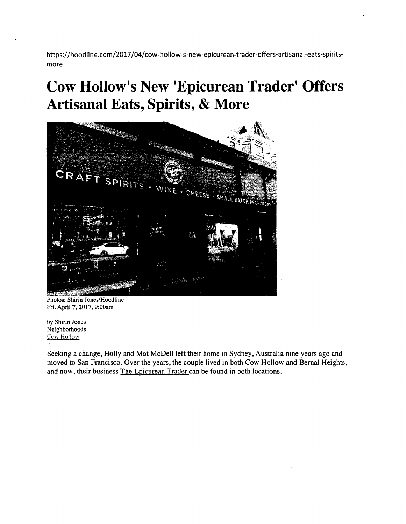https://hoodline.com/2017/04/cow-hollow-s-new-epicurean-trader-offers-artisanal-eats-spiritsmore

# **Cow Hollow's New 'Epicurean Trader' Offers Artisanal Eats, Spirits, & More**



Photos: Shirin Jones/Hoodline Fri. April 7, 2017, 9:00am

by Shirin Jones Neighborhoods Cow Hollow

Seeking a change, Holly and Mat McDell left their home in Sydney, Australia nine years ago and moved to San Francisco. Over the years, the couple lived in both Cow Hollow and Bernal Heights, and now, their business The Epicurean Trader can be found in both locations.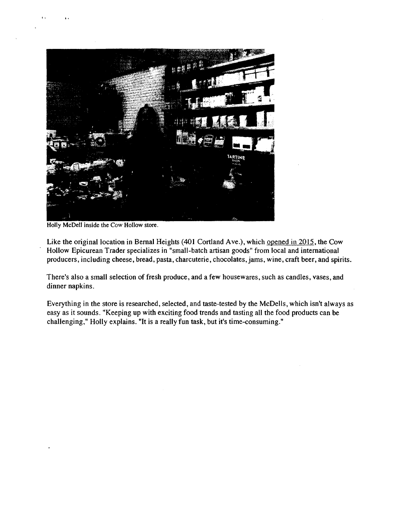

Holly McDell inside the Cow Hollow store.

..

Like the original location in Bernal Heights (401 Cortland Ave.), which opened in 2015, the Cow Hollow Epicurean Trader specializes in "small-batch artisan goods" from local and international producers, including cheese, bread, pasta, charcuterie, chocolates, jams, wine, craft beer, and spirits.

There's also a small selection of fresh produce, and a few housewares, such as candles, vases, and dinner napkins.

Everything in the store is researched, selected, and taste-tested by the McDells, which isn't always as easy as it sounds. "Keeping up with exciting food trends and tasting all the food products can be challenging," Holly explains. "It is a really fun task, but it's time-consuming."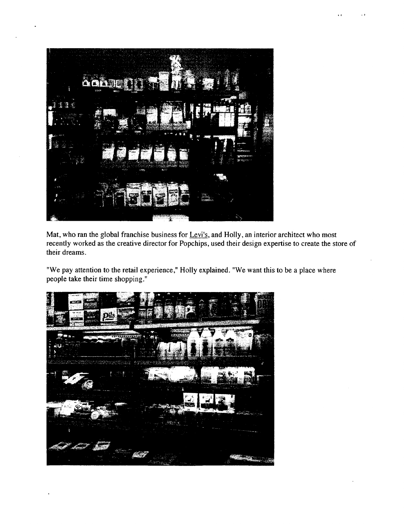

Mat, who ran the global franchise business for Levi's, and Holly, an interior architect who most recently worked as the creative director for Popchips, used their design expertise to create the store of their dreams.

"We pay attention to the retail experience," Holly explained. "We want this to be a place where people take their time shopping."

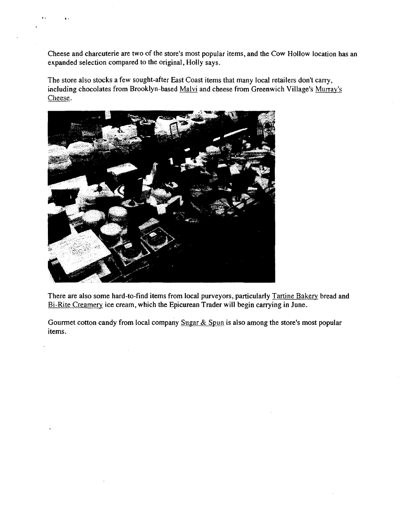Cheese and charcuterie are two of the store's most popular items, and the Cow Hollow location has an expanded selection compared to the original, Holly says.

The store also stocks a few sought-after East Coast items that many local retailers don't carry, including chocolates from Brooklyn-based Malvi and cheese from Greenwich Village's Murray's Cheese.



..

There are also some hard-to-find items from local purveyors, particularly Tartine Bakery bread and Bi-Rite Creamery ice cream, which the Epicurean Trader will begin carrying in June.

Gourmet cotton candy from local company Sugar & Spun is also among the store's most popular items.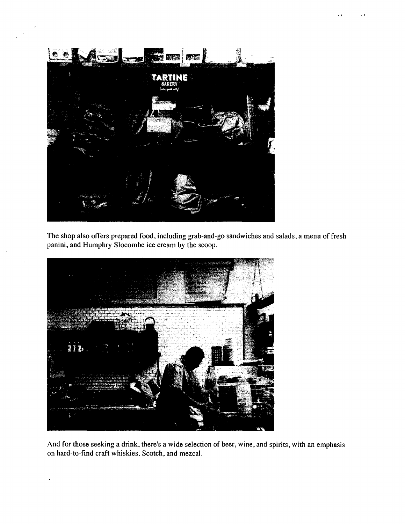

The shop also offers prepared food, including grab-and-go sandwiches and salads, a menu of fresh panini, and Humphry Slocombe ice cream by the scoop.



And for those seeking a drink, there's a wide selection of beer, wine, and spirits, with an emphasis on hard-to-find craft whiskies, Scotch, and mezcal.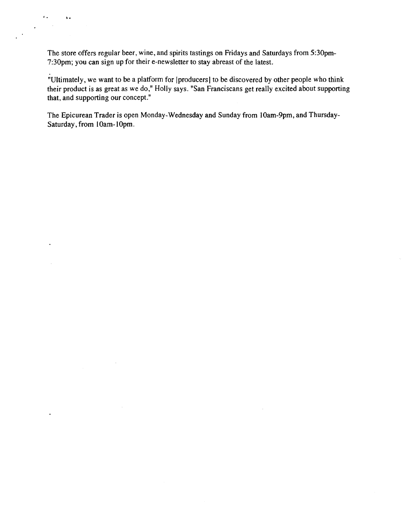The store offers regular beer, wine, and spirits tastings on Fridays and Saturdays from 5:30pm-7:30pm; you can sign up for their e-newsletter to stay abreast of the latest.

. . . ..

 $\ddot{\phantom{a}}$ 

 $\ddot{\phantom{0}}$ 

 $\mathcal{L}_{\mathcal{A}}$ 

 $\ddot{\phantom{0}}$ 

"Ultimately, we want to be a platform for [producers] to be discovered by other people who think their product is as great as we do," Holly says. "San Franciscans get really excited about supporting that, and supporting our concept."

The Epicurean Trader is open Monday-Wednesday and Sunday from 10am-9pm, and Thursday-Saturday, from IOam-IOpm.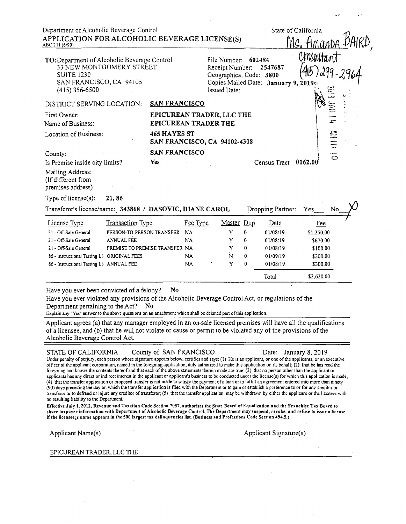| Department of Alcoholic Beverage Control<br>APPLICATION FOR ALCOHOLIC BEVERAGE LICENSE(S)<br>ABC 211 (6/99)                                  |                                                          |                                                                                                                             | State of California     |              |
|----------------------------------------------------------------------------------------------------------------------------------------------|----------------------------------------------------------|-----------------------------------------------------------------------------------------------------------------------------|-------------------------|--------------|
| TO: Department of Alcoholic Beverage Control<br>33 NEW MONTGOMERY STREET<br><b>SUITE 1230</b><br>SAN FRANCISCO, CA 94105<br>$(415)$ 356-6500 |                                                          | File Number:<br>602484<br>Receipt Number:<br>Geographical Code: 3800<br>Copies Mailed Date: January 9, 2019<br>Issued Date: | 2547687                 | CO.          |
| DISTRICT SERVING LOCATION:                                                                                                                   | <b>SAN FRANCISCO</b>                                     |                                                                                                                             |                         |              |
| First Owner:<br>Name of Business:                                                                                                            | EPICUREAN TRADER, LLC THE<br><b>EPICUREAN TRADER THE</b> |                                                                                                                             |                         |              |
| Location of Business:                                                                                                                        | 465 HAYES ST<br>SAN FRANCISCO, CA 94102-4308             |                                                                                                                             |                         |              |
| County:                                                                                                                                      | <b>SAN FRANCISCO</b>                                     |                                                                                                                             |                         | $\mathbb{C}$ |
| Is Premise inside city limits?                                                                                                               | <b>Yes</b>                                               |                                                                                                                             | Census Tract<br>0162.00 |              |
| Mailing Address:<br>(If different from<br>premises address)                                                                                  |                                                          |                                                                                                                             |                         |              |

Type of license(s): 21,86

| License Type                                | <b>Transaction Type</b>        | Fee Type  | Master Dup |   | Date     | <b>Fee</b> |
|---------------------------------------------|--------------------------------|-----------|------------|---|----------|------------|
| 21 - Off-Sale General                       | PERSON-TO-PERSON TRANSFER      | <b>NA</b> | Y          | 0 | 01/08/19 | \$1,250.00 |
| 21 - Off-Sale General                       | <b>ANNUAL FEE</b>              | NA        | Y          | 0 | 01/08/19 | \$670.00   |
| 21 - Off-Sale General                       | PREMISE TO PREMISE TRANSFER NA |           | Y          | 0 | 01/08/19 | \$100.00   |
| 86 - Instructional Tasting Li ORIGINAL FEES |                                | NA.       | N          | 0 | 01/09/19 | \$300.00   |
| 86 - Instructional Tasting Li ANNUAL FEE    |                                | NA        | Y          | 0 | 01/08/19 | \$300.00   |

Have you ever been convicted of a felony? **No** 

Have you ever violated any provisions of the Alcoholic Beverage Control Act, or regulations of the Department pertaining to the Act? No.

Explain any "Yes" answer to the above questions on an attachment which shall be deemed part of this application.

Applicant agrees (a) that any manager employed in an on-sale licensed premises will have all the qualifications of a licensee, and (b) that he will not violate or cause or permit to be violated any of the provisions of the Alcoholic Beverage Control Act.

#### STATE OF CALIFORNIA County of SAN FRANCISCO

Under penalty of perjury, each person whose signature appears below, certifies and says: (1) He is an applicant, or one of the applicants, or an executive officer of the applicant corporation, named in the foregoing application, duly authorized to make this application on its behalf; (2) that he has read the foregoing and knows the contents thereof and that each of the above statements therein made are true; (3) that no person other than the applicant or applicants has any direct or indirect interest in the applicant or applicant's business to be conducted under the license(s) for which this application is made, (4) that the transfer application or proposed transfer is not made to satisfy the payment of a loan or to fulfill an agreement entered into more than ninety (90) days preceding the day on which the transfer application is filed with the Department or to gain or establish a preference to or for any creditor or transferor or to defraud or injure any creditor of transferor; (5) that the transfer application may be withdrawn by either the applicant or the licensee with no resulting liability to the Department.

Effective July 1, 2012, Revenue and Taxation Code Section 7057, authorizes the State Board of Equalization and the Franchise Tax Board to share taxpayer information with Department of Alcoholic Beverage Control. The Department may suspend, revoke, and refuse to issue a license if the licenseezs name appears in the 500 largest tax delinquencies list. (Business and Professions Code Section 494.5.)

Applicant Name(s)

Applicant Signature(s)

#### EPICUREAN TRADER, LLC THE

Date: January 8, 2019